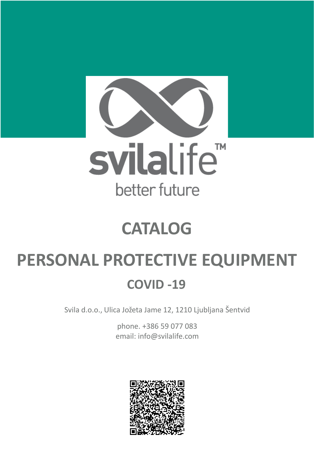

# **CATALOG**

# **PERSONAL PROTECTIVE EQUIPMENT**

### **COVID -19**

Svila d.o.o., Ulica Jožeta Jame 12, 1210 Ljubljana Šentvid

phone. +386 59 077 083 email: info@svilalife.com

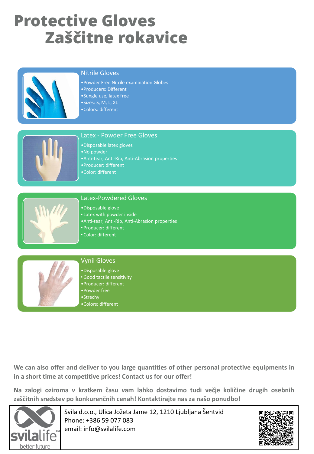## **Protective Gloves Zaščitne rokavice**



#### Nitrile Gloves

•Powder Free Nitrile examination Globes •Producers: Different •Sungle use, latex free •Sizes: S, M, L, XL •Colors: different



#### Latex - Powder Free Gloves

•Disposable latex gloves •No powder •Anti-tear, Anti-Rip, Anti-Abrasion properties •Producer: different •Color: different



#### Latex-Powdered Gloves

- •Disposable glove
- Latex with powder inside •Anti-tear, Anti-Rip, Anti-Abrasion properties
- Producer: different
- Color: different



#### Vynil Gloves

•Disposable glove •Good tactile sensitivity •Producer: different •Powder free •Strechy •Colors: different

**We can also offer and deliver to you large quantities of other personal protective equipments in in a short time at competitive prices! Contact us for our offer!**

**Na zalogi oziroma v kratkem času vam lahko dostavimo tudi večje količine drugih osebnih zaščitnih sredstev po konkurenčnih cenah! Kontaktirajte nas za našo ponudbo!**



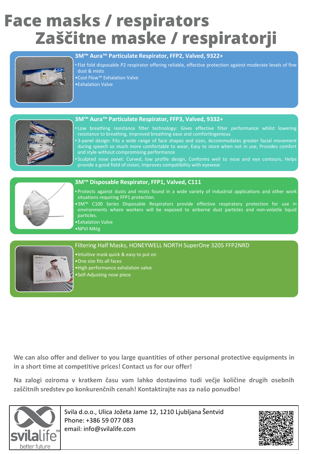## **Face masks / respirators Zaščitne maske / respiratorji**



#### **3M™ Aura™ Particulate Respirator, FFP2, Valved, 9322+**

- Flat fold disposable P2 respirator offering reliable, effective protection against moderate levels of fine dust & mists
- •Cool Flow™ Exhalation Valve
- •Exhalation Valve



#### **3M™ Aura™ Particulate Respirator, FFP3, Valved, 9332+**

- Low breathing resistance filter technology: Gives effective filter performance whilst lowering resistance to breathing, Improved breathing ease and comfortIngenious
- 3-panel design: Fits a wide range of face shapes and sizes, Accommodates greater facial movement during speech so much more comfortable to wear, Easy to store when not in use, Provides comfort and style without compromising performance
- Sculpted nose panel: Curved, low profile design, Conforms well to nose and eye contours, Helps provide a good field of vision, Improves compatibility with eyewear



#### **3M™ Disposable Respirator, FFP1, Valved, C111**

- Protects against dusts and mists found in a wide variety of industrial applications and other work situations requiring FFP1 protection.
- •3M™ C100 Series Disposable Respirators provide effective respiratory protection for use in environments where workers will be exposed to airborne dust particles and non-volatile liquid particles.
- •Exhalation Valve
- •NPVI Mktg

#### Filtering Half Masks, HONEYWELL NORTH SuperOne 3205 FFP2NRD

- •Intuitive mask quick & easy to put on
- •One size fits all faces
- •High performance exhalation valve
- •Self-Adjusting nose piece

**We can also offer and deliver to you large quantities of other personal protective equipments in in a short time at competitive prices! Contact us for our offer!**

**Na zalogi oziroma v kratkem času vam lahko dostavimo tudi večje količine drugih osebnih zaščitnih sredstev po konkurenčnih cenah! Kontaktirajte nas za našo ponudbo!**



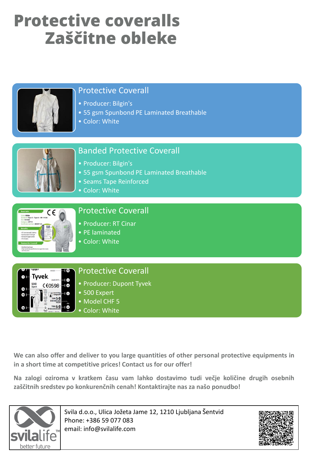# **Protective coveralls Zaščitne obleke**



### Protective Coverall

- Producer: Bilgin's
- 55 gsm Spunbond PE Laminated Breathable
- Color: White



### Banded Protective Coverall

- Producer: Bilgin's
- 55 gsm Spunbond PE Laminated Breathable
- Seams Tape Reinforced
- Color: White



### Protective Coverall

- Producer: RT Cinar
- PE laminated
- Color: White



### Protective Coverall

- Producer: Dupont Tyvek
- 500 Expert
- Model CHF 5
- Color: White

**We can also offer and deliver to you large quantities of other personal protective equipments in in a short time at competitive prices! Contact us for our offer!**

**Na zalogi oziroma v kratkem času vam lahko dostavimo tudi večje količine drugih osebnih zaščitnih sredstev po konkurenčnih cenah! Kontaktirajte nas za našo ponudbo!**



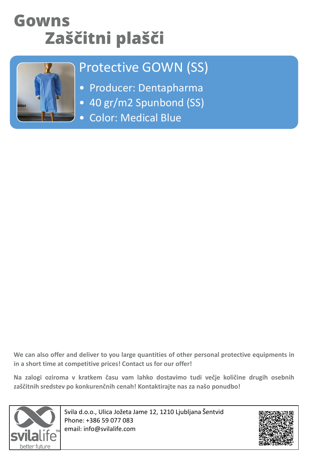## **Gowns Zaščitni plašči**



### Protective GOWN (SS)

- Producer: Dentapharma
- 40 gr/m2 Spunbond (SS)
- Color: Medical Blue

**We can also offer and deliver to you large quantities of other personal protective equipments in in a short time at competitive prices! Contact us for our offer!**

**Na zalogi oziroma v kratkem času vam lahko dostavimo tudi večje količine drugih osebnih zaščitnih sredstev po konkurenčnih cenah! Kontaktirajte nas za našo ponudbo!**